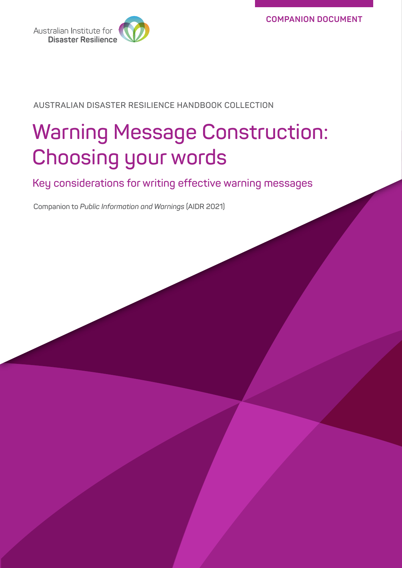

**AUSTRALIAN DISASTER RESILIENCE HANDBOOK COLLECTION**

# **Warning Message Construction: Choosing your words**

**Key considerations for writing effective warning messages**

**Companion to** *Public Information and Warnings* **(AIDR 2021)**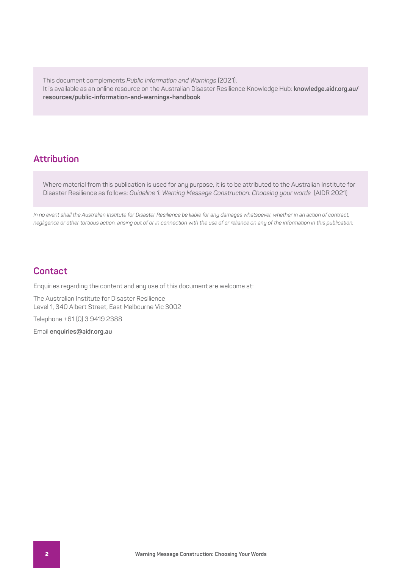This document complements *Public Information and Warnings* (2021). It is available as an online resource on the Australian Disaster Resilience Knowledge Hub: **[knowledge.aidr.org.au/](https://knowledge.aidr.org.au/resources/public-information-and-warnings-handbook/) [resources/public-information-and-warnings-handbook](https://knowledge.aidr.org.au/resources/public-information-and-warnings-handbook/)**

### **Attribution**

Where material from this publication is used for any purpose, it is to be attributed to the Australian Institute for Disaster Resilience as follows: *Guideline 1: Warning Message Construction: Choosing your words* (AIDR 2021)

*In no event shall the Australian Institute for Disaster Resilience be liable for any damages whatsoever, whether in an action of contract, negligence or other tortious action, arising out of or in connection with the use of or reliance on any of the information in this publication.*

## **Contact**

Enquiries regarding the content and any use of this document are welcome at:

The Australian Institute for Disaster Resilience Level 1, 340 Albert Street, East Melbourne Vic 3002

Telephone +61 (0) 3 9419 2388

Email **enquiries@aidr.org.au**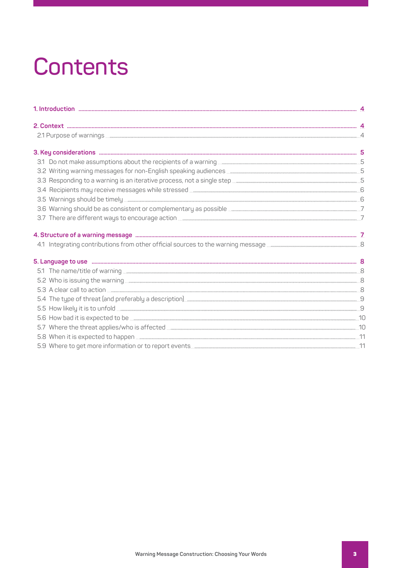# **Contents**

| 3.2 Writing warning messages for non-English speaking audiences <b>Construction Construction</b> and S                                                                                                                               |  |
|--------------------------------------------------------------------------------------------------------------------------------------------------------------------------------------------------------------------------------------|--|
|                                                                                                                                                                                                                                      |  |
|                                                                                                                                                                                                                                      |  |
|                                                                                                                                                                                                                                      |  |
|                                                                                                                                                                                                                                      |  |
| 3.7 There are different ways to encourage action <b>Constitution and Constitution</b> 2                                                                                                                                              |  |
|                                                                                                                                                                                                                                      |  |
| 4.1 Integrating contributions from other official sources to the warning message <b>Contract Controller Control</b> B                                                                                                                |  |
| 5. Language to use manufacture and the contract of the state of the state of the set of the set of the set of the set of the set of the set of the set of the set of the set of the set of the set of the set of the set of th       |  |
|                                                                                                                                                                                                                                      |  |
| 5.2 Who is issuing the warning <b>with the warning</b> with the warning with the warning with the warning with the warning with the warning with the warning with the state of the warning with the state of the state of the state  |  |
|                                                                                                                                                                                                                                      |  |
|                                                                                                                                                                                                                                      |  |
|                                                                                                                                                                                                                                      |  |
| 5.6 How bad it is expected to be <u>material and construction of the set of the set of the set of the set of the set of the set of the set of the set of the set of the set of the set of the set of the set of the set of the s</u> |  |
|                                                                                                                                                                                                                                      |  |
| 5.8 When it is expected to happen <b>Election Construction</b> and a strategy and a strategy and a strategy and a strategy and a strategy and a strategy and a strategy and strategy and strategy and strategy and strategy and str  |  |
| 5.9 Where to get more information or to report events <b>Constitution and the constant of the constant of the constant of the constant of the constant of the constant of the constant of the constant of the constant of the co</b> |  |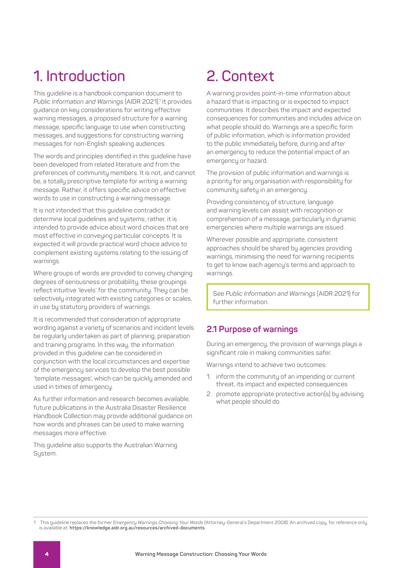# **1. Introduction**

This guideline is a handbook companion document to *Public Information and Warnings* (AIDR 2021).1 It provides guidance on key considerations for writing effective warning messages, a proposed structure for a warning message, specific language to use when constructing messages, and suggestions for constructing warning messages for non-English speaking audiences.

The words and principles identified in this guideline have been developed from related literature and from the preferences of community members. It is not, and cannot be, a totally prescriptive template for writing a warning message. Rather, it offers specific advice on effective words to use in constructing a warning message.

It is not intended that this guideline contradict or determine local guidelines and systems; rather, it is intended to provide advice about word choices that are most effective in conveying particular concepts. It is expected it will provide practical word choice advice to complement existing systems relating to the issuing of warnings.

Where groups of words are provided to convey changing degrees of seriousness or probability, these groupings reflect intuitive 'levels' for the community. They can be selectively integrated with existing categories or scales, in use by statutory providers of warnings.

It is recommended that consideration of appropriate wording against a variety of scenarios and incident levels be regularly undertaken as part of planning, preparation and training programs. In this way, the information provided in this guideline can be considered in conjunction with the local circumstances and expertise of the emergency services to develop the best possible 'template messages', which can be quickly amended and used in times of emergency.

As further information and research becomes available, future publications in the Australia Disaster Resilience Handbook Collection may provide additional guidance on how words and phrases can be used to make warning messages more effective.

This guideline also supports the Australian Warning System.

# **2. Context**

A warning provides point-in-time information about a hazard that is impacting or is expected to impact communities. It describes the impact and expected consequences for communities and includes advice on what people should do. Warnings are a specific form of public information, which is information provided to the public immediately before, during and after an emergency to reduce the potential impact of an emergency or hazard.

The provision of public information and warnings is a priority for any organisation with responsibility for community safety in an emergency.

Providing consistency of structure, language and warning levels can assist with recognition or comprehension of a message, particularly in dynamic emergencies where multiple warnings are issued.

Wherever possible and appropriate, consistent approaches should be shared by agencies providing warnings, minimising the need for warning recipients to get to know each agency's terms and approach to warnings.

See *Public Information and Warnings* (AIDR 2021) for further information.

### **2.1 Purpose of warnings**

During an emergency, the provision of warnings plays a significant role in making communities safer.

Warnings intend to achieve two outcomes:

- 1. inform the community of an impending or current threat, its impact and expected consequences
- 2. promote appropriate protective action(s) by advising what people should do.

<sup>1</sup> This guideline replaces the former *Emergency Warnings Choosing Your Words* (Attorney-General's Department 2008). An archived copy, for reference only, is available at: **[https://knowledge.aidr.org.au/resources/archived-documents](https://knowledge.aidr.org.au/resources/archived-documents/.)**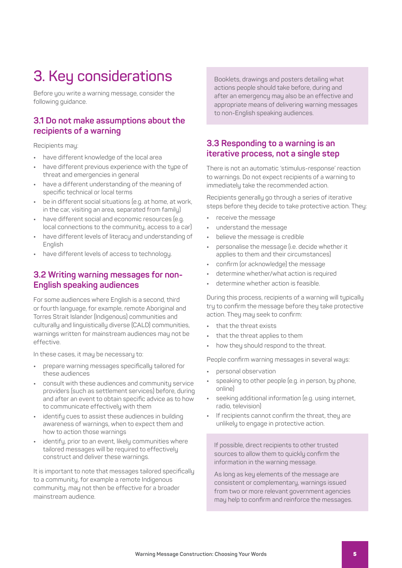# **3. Key considerations**

Before you write a warning message, consider the following guidance.

### **3.1 Do not make assumptions about the recipients of a warning**

Recipients may:

- **•** have different knowledge of the local area
- **•** have different previous experience with the type of threat and emergencies in general
- **•** have a different understanding of the meaning of specific technical or local terms
- **•** be in different social situations (e.g. at home, at work, in the car, visiting an area, separated from family)
- **•** have different social and economic resources (e.g. local connections to the community, access to a car)
- **•** have different levels of literacy and understanding of English
- **•** have different levels of access to technology.

### **3.2 Writing warning messages for non-English speaking audiences**

For some audiences where English is a second, third or fourth language, for example, remote Aboriginal and Torres Strait Islander (Indigenous) communities and culturally and linguistically diverse (CALD) communities, warnings written for mainstream audiences may not be effective.

In these cases, it may be necessary to:

- **•** prepare warning messages specifically tailored for these audiences
- **•** consult with these audiences and community service providers (such as settlement services) before, during and after an event to obtain specific advice as to how to communicate effectively with them
- **•** identify cues to assist these audiences in building awareness of warnings, when to expect them and how to action those warnings
- **•** identify, prior to an event, likely communities where tailored messages will be required to effectively construct and deliver these warnings.

It is important to note that messages tailored specifically to a community, for example a remote Indigenous community, may not then be effective for a broader mainstream audience.

Booklets, drawings and posters detailing what actions people should take before, during and after an emergency may also be an effective and appropriate means of delivering warning messages to non-English speaking audiences.

### **3.3 Responding to a warning is an iterative process, not a single step**

There is not an automatic 'stimulus-response' reaction to warnings. Do not expect recipients of a warning to immediately take the recommended action.

Recipients generally go through a series of iterative steps before they decide to take protective action. They:

- **•** receive the message
- **•** understand the message
- **•** believe the message is credible
- **•** personalise the message (i.e. decide whether it applies to them and their circumstances)
- **•** confirm (or acknowledge) the message
- **•** determine whether/what action is required
- **•** determine whether action is feasible.

During this process, recipients of a warning will typically try to confirm the message before they take protective action. They may seek to confirm:

- **•** that the threat exists
- **•** that the threat applies to them
- **•** how they should respond to the threat.

People confirm warning messages in several ways:

- **•** personal observation
- **•** speaking to other people (e.g. in person, by phone, online)
- **•** seeking additional information (e.g. using internet, radio, television)
- **•** If recipients cannot confirm the threat, they are unlikely to engage in protective action.

If possible, direct recipients to other trusted sources to allow them to quickly confirm the information in the warning message.

As long as key elements of the message are consistent or complementary, warnings issued from two or more relevant government agencies may help to confirm and reinforce the messages.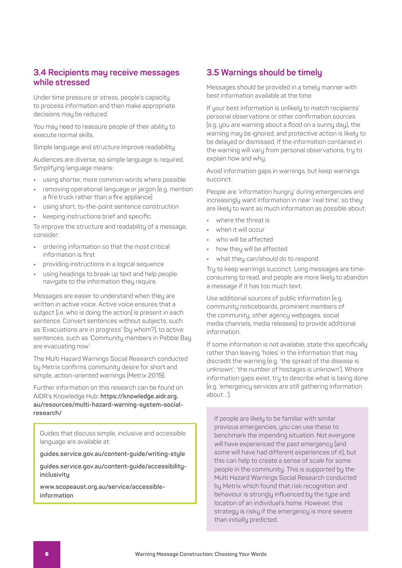### **3.4 Recipients may receive messages while stressed**

Under time pressure or stress, people's capacity to process information and then make appropriate decisions may be reduced.

You may need to reassure people of their ability to execute normal skills.

Simple language and structure improve readability.

Audiences are diverse, so simple language is required. Simplifying language means:

- **•** using shorter, more common words where possible
- **•** removing operational language or jargon (e.g. mention a fire truck rather than a fire appliance)
- **•** using short, to-the-point sentence construction
- **•** keeping instructions brief and specific.

To improve the structure and readability of a message, consider:

- **•** ordering information so that the most critical information is first
- **•** providing instructions in a logical sequence
- **•** using headings to break up text and help people navigate to the information they require.

Messages are easier to understand when they are written in active voice. Active voice ensures that a subject (i.e. who is doing the action) is present in each sentence. Convert sentences without subjects, such as 'Evacuations are in progress' (by whom?), to active sentences, such as 'Community members in Pebble Bay are evacuating now'.

The Multi Hazard Warnings Social Research conducted by Metrix confirms community desire for short and simple, action-oriented warnings (Metrix 2019).

Further information on this research can be found on AIDR's Knowledge Hub: **[https://knowledge.aidr.org.](https://knowledge.aidr.org.au/resources/multi-hazard-warning-system-social-research/ ) [au/resources/multi-hazard-warning-system-social](https://knowledge.aidr.org.au/resources/multi-hazard-warning-system-social-research/ )[research/](https://knowledge.aidr.org.au/resources/multi-hazard-warning-system-social-research/ )** 

Guides that discuss simple, inclusive and accessible language are available at:

**[guides.service.gov.au/content-guide/writing-style](https://guides.service.gov.au/content-guide/writing-style/)**

**[guides.service.gov.au/content-guide/accessibility](https://guides.service.gov.au/content-guide/accessibility-inclusivity/ )[inclusivity](https://guides.service.gov.au/content-guide/accessibility-inclusivity/ )**

**[www.scopeaust.org.au/service/accessible](https://www.scopeaust.org.au/service/accessible-information/)[information](https://www.scopeaust.org.au/service/accessible-information/)**

### **3.5 Warnings should be timely**

Messages should be provided in a timely manner with best information available at the time.

If your best information is unlikely to match recipients' personal observations or other confirmation sources (e.g. you are warning about a flood on a sunny day), the warning may be ignored, and protective action is likely to be delayed or dismissed. If the information contained in the warning will vary from personal observations, try to explain how and why.

Avoid information gaps in warnings, but keep warnings succinct.

People are 'information hungry' during emergencies and increasingly want information in near 'real time', so they are likely to want as much information as possible about:

- **•** where the threat is
- **•** when it will occur
- **•** who will be affected
- **•** how they will be affected
- **•** what they can/should do to respond.

Try to keep warnings succinct. Long messages are timeconsuming to read, and people are more likely to abandon a message if it has too much text.

Use additional sources of public information (e.g. community noticeboards, prominent members of the community, other agency webpages, social media channels, media releases) to provide additional information.

If some information is not available, state this specifically rather than leaving 'holes' in the information that may discredit the warning (e.g. 'the spread of the disease is unknown'; 'the number of hostages is unknown'). Where information gaps exist, try to describe what is being done (e.g. 'emergency services are still gathering information about…').

If people are likely to be familiar with similar previous emergencies, you can use these to benchmark the impending situation. Not everyone will have experienced the past emergency (and some will have had different experiences of it), but this can help to create a sense of scale for some people in the community. This is supported by the Multi Hazard Warnings Social Research conducted by Metrix which found that risk recognition and behaviour is strongly influenced by the type and location of an individual's home. However, this strategy is risky if the emergency is more severe than initially predicted.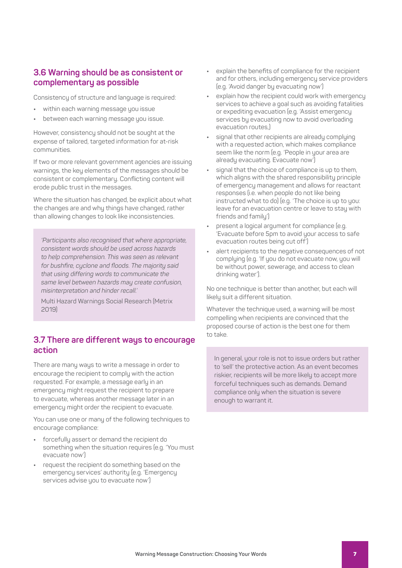### **3.6 Warning should be as consistent or complementary as possible**

Consistency of structure and language is required:

- **•** within each warning message you issue
- **•** between each warning message you issue.

However, consistency should not be sought at the expense of tailored, targeted information for at-risk communities.

If two or more relevant government agencies are issuing warnings, the key elements of the messages should be consistent or complementary. Conflicting content will erode public trust in the messages.

Where the situation has changed, be explicit about what the changes are and why things have changed, rather than allowing changes to look like inconsistencies.

*'Participants also recognised that where appropriate, consistent words should be used across hazards to help comprehension. This was seen as relevant for bushfire, cyclone and floods. The majority said that using differing words to communicate the same level between hazards may create confusion, misinterpretation and hinder recall.'*

Multi Hazard Warnings Social Research (Metrix 2019)

### **3.7 There are different ways to encourage action**

There are many ways to write a message in order to encourage the recipient to comply with the action requested. For example, a message early in an emergency might request the recipient to prepare to evacuate, whereas another message later in an emergency might order the recipient to evacuate.

You can use one or many of the following techniques to encourage compliance:

- **•** forcefully assert or demand the recipient do something when the situation requires (e.g. 'You must evacuate now')
- **•** request the recipient do something based on the emergency services' authority (e.g. 'Emergency services advise you to evacuate now')
- **•** explain the benefits of compliance for the recipient and for others, including emergency service providers (e.g. 'Avoid danger by evacuating now')
- **•** explain how the recipient could work with emergency services to achieve a goal such as avoiding fatalities or expediting evacuation (e.g. 'Assist emergency services by evacuating now to avoid overloading evacuation routes,)
- **•** signal that other recipients are already complying with a requested action, which makes compliance seem like the norm (e.g. 'People in your area are already evacuating. Evacuate now')
- **•** signal that the choice of compliance is up to them, which aligns with the shared responsibility principle of emergency management and allows for reactant responses (i.e. when people do not like being instructed what to do) (e.g. 'The choice is up to you: leave for an evacuation centre or leave to stay with friends and family')
- **•** present a logical argument for compliance (e.g. 'Evacuate before 5pm to avoid your access to safe evacuation routes being cut off')
- **•** alert recipients to the negative consequences of not complying (e.g. 'If you do not evacuate now, you will be without power, sewerage, and access to clean drinking water').

No one technique is better than another, but each will likely suit a different situation.

Whatever the technique used, a warning will be most compelling when recipients are convinced that the proposed course of action is the best one for them to take.

In general, your role is not to issue orders but rather to 'sell' the protective action. As an event becomes riskier, recipients will be more likely to accept more forceful techniques such as demands. Demand compliance only when the situation is severe enough to warrant it.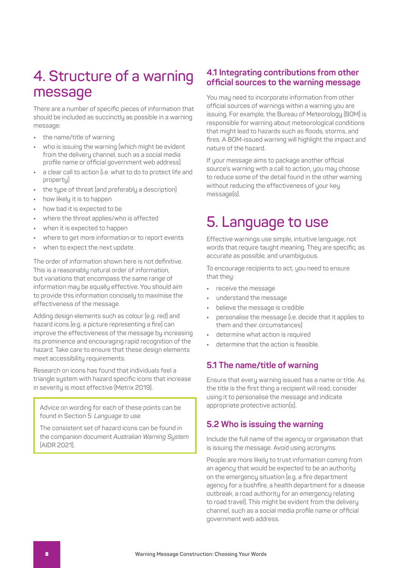# **4. Structure of a warning message**

There are a number of specific pieces of information that should be included as succinctly as possible in a warning message:

- **•** the name/title of warning
- **•** who is issuing the warning (which might be evident from the delivery channel, such as a social media profile name or official government web address)
- **•** a clear call to action (i.e. what to do to protect life and property)
- **•** the type of threat (and preferably a description)
- **•** how likely it is to happen
- **•** how bad it is expected to be
- **•** where the threat applies/who is affected
- **•** when it is expected to happen
- **•** where to get more information or to report events
- **•** when to expect the next update.

The order of information shown here is not definitive. This is a reasonably natural order of information, but variations that encompass the same range of information may be equally effective. You should aim to provide this information concisely to maximise the effectiveness of the message.

Adding design elements such as colour (e.g. red) and hazard icons (e.g. a picture representing a fire) can improve the effectiveness of the message by increasing its prominence and encouraging rapid recognition of the hazard. Take care to ensure that these design elements meet accessibility requirements.

Research on icons has found that individuals feel a triangle system with hazard specific icons that increase in severity is most effective (Metrix 2019).

Advice on wording for each of these points can be found in Section 5: *Language to use.*

The consistent set of hazard icons can be found in the companion document *Australian Warning System* (AIDR 2021).

### **4.1 Integrating contributions from other official sources to the warning message**

You may need to incorporate information from other official sources of warnings within a warning you are issuing. For example, the Bureau of Meteorology (BOM) is responsible for warning about meteorological conditions that might lead to hazards such as floods, storms, and fires. A BOM-issued warning will highlight the impact and nature of the hazard.

If your message aims to package another official source's warning with a call to action, you may choose to reduce some of the detail found in the other warning without reducing the effectiveness of your key message(s).

## **5. Language to use**

Effective warnings use simple, intuitive language, not words that require taught meaning. They are specific, as accurate as possible, and unambiguous.

To encourage recipients to act, you need to ensure that theu:

- **•** receive the message
- **•** understand the message
- **•** believe the message is credible
- **•** personalise the message (i.e. decide that it applies to them and their circumstances)
- **•** determine what action is required
- **•** determine that the action is feasible.

### **5.1 The name/title of warning**

Ensure that every warning issued has a name or title. As the title is the first thing a recipient will read, consider using it to personalise the message and indicate appropriate protective action(s).

### **5.2 Who is issuing the warning**

Include the full name of the agency or organisation that is issuing the message. Avoid using acronyms.

People are more likely to trust information coming from an agency that would be expected to be an authority on the emergency situation (e.g. a fire department agency for a bushfire, a health department for a disease outbreak, a road authority for an emergency relating to road travel). This might be evident from the delivery channel, such as a social media profile name or official government web address.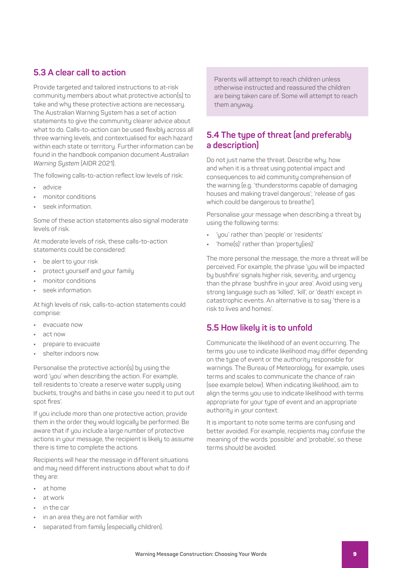### **5.3 A clear call to action**

Provide targeted and tailored instructions to at-risk community members about what protective action(s) to take and why these protective actions are necessary. The Australian Warning System has a set of action statements to give the community clearer advice about what to do. Calls-to-action can be used flexibly across all three warning levels, and contextualised for each hazard within each state or territory. Further information can be found in the handbook companion document *Australian Warning System* (AIDR 2021).

The following calls-to-action reflect low levels of risk:

- **•** advice
- **•** monitor conditions
- **•** seek information.

Some of these action statements also signal moderate levels of risk.

At moderate levels of risk, these calls-to-action statements could be considered:

- **•** be alert to your risk
- **•** protect yourself and your family
- **•** monitor conditions
- **•** seek information.

At high levels of risk, calls-to-action statements could comprise:

- **•** evacuate now
- **•** act now
- **•** prepare to evacuate
- **•** shelter indoors now.

Personalise the protective action(s) by using the word 'you' when describing the action. For example, tell residents to 'create a reserve water supply using buckets, troughs and baths in case you need it to put out spot fires'.

If you include more than one protective action, provide them in the order they would logically be performed. Be aware that if you include a large number of protective actions in your message, the recipient is likely to assume there is time to complete the actions.

Recipients will hear the message in different situations and may need different instructions about what to do if theu are:

- **•** at home
- **•** at work
- **•** in the car
- **•** in an area they are not familiar with
- **•** separated from family (especially children).

Parents will attempt to reach children unless otherwise instructed and reassured the children are being taken care of. Some will attempt to reach them anyway.

## **5.4 The type of threat (and preferably a description)**

Do not just name the threat. Describe why, how and when it is a threat using potential impact and consequences to aid community comprehension of the warning (e.g. 'thunderstorms capable of damaging houses and making travel dangerous'; 'release of gas which could be dangerous to breathe').

Personalise your message when describing a threat by using the following terms:

- **•** 'you' rather than 'people' or 'residents'
- **•** 'home(s)' rather than 'property(ies)'

The more personal the message, the more a threat will be perceived. For example, the phrase 'you will be impacted by bushfire' signals higher risk, severity, and urgency than the phrase 'bushfire in your area'. Avoid using very strong language such as 'killed', 'kill', or 'death' except in catastrophic events. An alternative is to say 'there is a risk to lives and homes'.

### **5.5 How likely it is to unfold**

Communicate the likelihood of an event occurring. The terms you use to indicate likelihood may differ depending on the tupe of event or the authority responsible for warnings. The Bureau of Meteorology, for example, uses terms and scales to communicate the chance of rain (see example below). When indicating likelihood, aim to align the terms you use to indicate likelihood with terms appropriate for your type of event and an appropriate authority in your context.

It is important to note some terms are confusing and better avoided. For example, recipients may confuse the meaning of the words 'possible' and 'probable', so these terms should be avoided.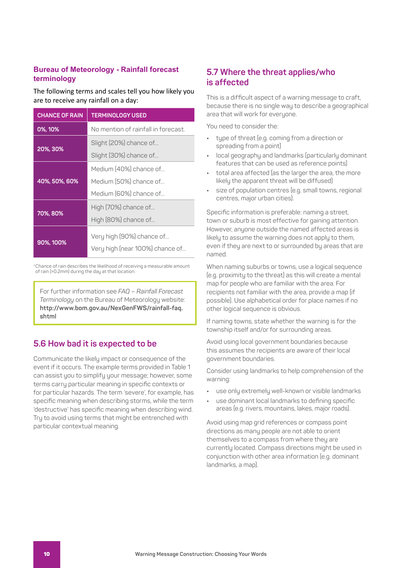### **Bureau of Meteorology - Rainfall forecast terminology**

The following terms and scales tell you how likely you are to receive any rainfall on a day:

| <b>CHANCE OF RAIN</b> | <b>TERMINOLOGY USED</b>                                                    |  |
|-----------------------|----------------------------------------------------------------------------|--|
| 0%, 10%               | No mention of rainfall in forecast                                         |  |
| 20%, 30%              | Slight (20%) chance of<br>Slight (30%) chance of                           |  |
| 40%, 50%, 60%         | Medium (40%) chance of<br>Medium (50%) chance of<br>Medium (60%) chance of |  |
| 70%, 80%              | High (70%) chance of<br>High (80%) chance of                               |  |
| 90%, 100%             | Very high (90%) chance of<br>Very high (near 100%) chance of               |  |

\*Chance of rain describes the likelihood of receiving a measurable amount of rain (>0.2mm) during the day at that location.

For further information see *FAQ – Rainfall Forecast Terminology* on the Bureau of Meteorology website: **[http://www.bom.gov.au/NexGenFWS/rainfall-faq.](http://www.bom.gov.au/NexGenFWS/rainfall-faq.shtml) [shtml](http://www.bom.gov.au/NexGenFWS/rainfall-faq.shtml)**

## **5.6 How bad it is expected to be**

Communicate the likely impact or consequence of the event if it occurs. The example terms provided in Table 1 can assist you to simplify your message; however, some terms carry particular meaning in specific contexts or for particular hazards. The term 'severe', for example, has specific meaning when describing storms, while the term 'destructive' has specific meaning when describing wind. Try to avoid using terms that might be entrenched with particular contextual meaning.

### **5.7 Where the threat applies/who is affected**

This is a difficult aspect of a warning message to craft, because there is no single way to describe a geographical area that will work for everyone.

You need to consider the:

- **•** type of threat (e.g. coming from a direction or spreading from a point)
- **•** local geography and landmarks (particularly dominant features that can be used as reference points)
- **•** total area affected (as the larger the area, the more likely the apparent threat will be diffused)
- **•** size of population centres (e.g. small towns, regional centres, major urban cities).

Specific information is preferable: naming a street, town or suburb is most effective for gaining attention. However, anyone outside the named affected areas is likely to assume the warning does not apply to them, even if they are next to or surrounded by areas that are named.

When naming suburbs or towns, use a logical sequence (e.g. proximity to the threat) as this will create a mental map for people who are familiar with the area. For recipients not familiar with the area, provide a map (if possible). Use alphabetical order for place names if no other logical sequence is obvious.

If naming towns, state whether the warning is for the township itself and/or for surrounding areas.

Avoid using local government boundaries because this assumes the recipients are aware of their local government boundaries.

Consider using landmarks to help comprehension of the warning:

- **•** use only extremely well-known or visible landmarks
- **•** use dominant local landmarks to defining specific areas (e.g. rivers, mountains, lakes, major roads).

Avoid using map grid references or compass point directions as many people are not able to orient themselves to a compass from where they are currently located. Compass directions might be used in conjunction with other area information (e.g. dominant landmarks, a map).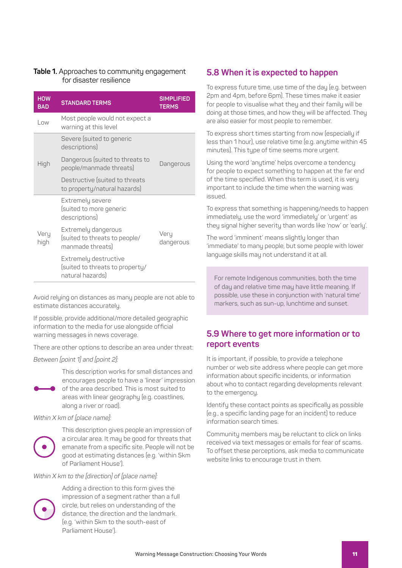#### **Table 1.** Approaches to community engagement for disaster resilience

| <b>HOW</b><br><b>BAD</b> | <b>STANDARD TERMS</b>                                                        | <b>SIMPLIFIED</b><br><b>TERMS</b> |
|--------------------------|------------------------------------------------------------------------------|-----------------------------------|
| Low                      | Most people would not expect a<br>warning at this level                      |                                   |
|                          | Severe (suited to generic<br>descriptions)                                   |                                   |
| High                     | Dangerous (suited to threats to<br>people/manmade threats)                   | Dangerous                         |
|                          | Destructive (suited to threats<br>to property/natural hazards)               |                                   |
|                          | Extremely severe<br>(suited to more generic<br>descriptions)                 |                                   |
| Very<br>high             | Extremely dangerous<br>(suited to threats to people/<br>manmade threats)     | Very<br>dangerous                 |
|                          | Extremely destructive<br>(suited to threats to property/<br>natural hazards) |                                   |

Avoid relying on distances as many people are not able to estimate distances accurately.

If possible, provide additional/more detailed geographic information to the media for use alongside official warning messages in news coverage.

There are other options to describe an area under threat:

#### *Between [point 1] and [point 2]:*

This description works for small distances and encourages people to have a 'linear' impression

of the area described. This is most suited to areas with linear geography (e.g. coastlines, along a river or road).

#### *Within X km of [place name]:*



This description gives people an impression of a circular area. It may be good for threats that emanate from a specific site. People will not be good at estimating distances (e.g. 'within 5km of Parliament House').

### *Within X km to the [direction] of [place name]:*



Adding a direction to this form gives the impression of a segment rather than a full circle, but relies on understanding of the distance, the direction and the landmark. (e.g. 'within 5km to the south-east of Parliament House').

### **5.8 When it is expected to happen**

To express future time, use time of the day (e.g. between 2pm and 4pm, before 6pm). These times make it easier for people to visualise what they and their family will be doing at those times, and how they will be affected. They are also easier for most people to remember.

To express short times starting from now (especially if less than 1 hour), use relative time (e.g. anytime within 45 minutes). This type of time seems more urgent.

Using the word 'anytime' helps overcome a tendency for people to expect something to happen at the far end of the time specified. When this term is used, it is very important to include the time when the warning was issued.

To express that something is happening/needs to happen immediately, use the word 'immediately' or 'urgent' as they signal higher severity than words like 'now' or 'early'.

The word 'imminent' means slightly longer than 'immediate' to many people, but some people with lower language skills may not understand it at all.

For remote Indigenous communities, both the time of day and relative time may have little meaning. If possible, use these in conjunction with 'natural time' markers, such as sun-up, lunchtime and sunset.

### **5.9 Where to get more information or to report events**

It is important, if possible, to provide a telephone number or web site address where people can get more information about specific incidents, or information about who to contact regarding developments relevant to the emergency.

Identify these contact points as specifically as possible (e.g., a specific landing page for an incident) to reduce information search times.

Community members may be reluctant to click on links received via text messages or emails for fear of scams. To offset these perceptions, ask media to communicate website links to encourage trust in them.